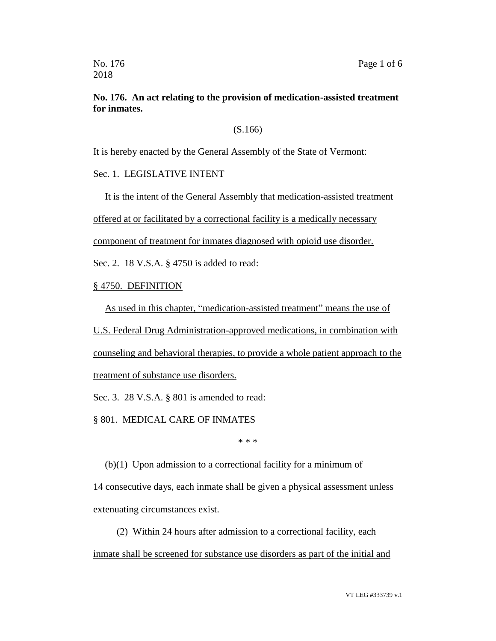### **No. 176. An act relating to the provision of medication-assisted treatment for inmates.**

(S.166)

It is hereby enacted by the General Assembly of the State of Vermont:

Sec. 1. LEGISLATIVE INTENT

It is the intent of the General Assembly that medication-assisted treatment

offered at or facilitated by a correctional facility is a medically necessary

component of treatment for inmates diagnosed with opioid use disorder.

Sec. 2. 18 V.S.A. § 4750 is added to read:

§ 4750. DEFINITION

As used in this chapter, "medication-assisted treatment" means the use of

U.S. Federal Drug Administration-approved medications, in combination with counseling and behavioral therapies, to provide a whole patient approach to the treatment of substance use disorders.

Sec. 3. 28 V.S.A. § 801 is amended to read:

§ 801. MEDICAL CARE OF INMATES

\* \* \*

(b)(1) Upon admission to a correctional facility for a minimum of

14 consecutive days, each inmate shall be given a physical assessment unless extenuating circumstances exist.

(2) Within 24 hours after admission to a correctional facility, each inmate shall be screened for substance use disorders as part of the initial and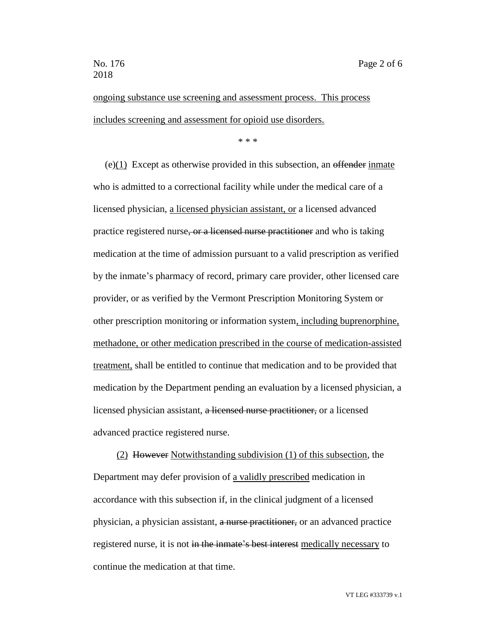ongoing substance use screening and assessment process. This process includes screening and assessment for opioid use disorders.

\* \* \*

 $(e)(1)$  Except as otherwise provided in this subsection, an effender inmate who is admitted to a correctional facility while under the medical care of a licensed physician, a licensed physician assistant, or a licensed advanced practice registered nurse, or a licensed nurse practitioner and who is taking medication at the time of admission pursuant to a valid prescription as verified by the inmate's pharmacy of record, primary care provider, other licensed care provider, or as verified by the Vermont Prescription Monitoring System or other prescription monitoring or information system, including buprenorphine, methadone, or other medication prescribed in the course of medication-assisted treatment, shall be entitled to continue that medication and to be provided that medication by the Department pending an evaluation by a licensed physician, a licensed physician assistant, a licensed nurse practitioner, or a licensed advanced practice registered nurse.

(2) However Notwithstanding subdivision (1) of this subsection, the Department may defer provision of a validly prescribed medication in accordance with this subsection if, in the clinical judgment of a licensed physician, a physician assistant, a nurse practitioner, or an advanced practice registered nurse, it is not in the inmate's best interest medically necessary to continue the medication at that time.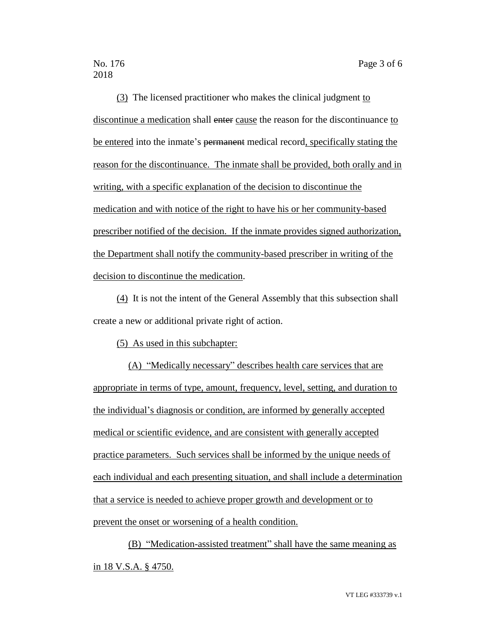(3) The licensed practitioner who makes the clinical judgment to discontinue a medication shall enter cause the reason for the discontinuance to be entered into the inmate's permanent medical record, specifically stating the reason for the discontinuance. The inmate shall be provided, both orally and in writing, with a specific explanation of the decision to discontinue the medication and with notice of the right to have his or her community-based prescriber notified of the decision. If the inmate provides signed authorization, the Department shall notify the community-based prescriber in writing of the decision to discontinue the medication.

(4) It is not the intent of the General Assembly that this subsection shall create a new or additional private right of action.

(5) As used in this subchapter:

(A) "Medically necessary" describes health care services that are appropriate in terms of type, amount, frequency, level, setting, and duration to the individual's diagnosis or condition, are informed by generally accepted medical or scientific evidence, and are consistent with generally accepted practice parameters. Such services shall be informed by the unique needs of each individual and each presenting situation, and shall include a determination that a service is needed to achieve proper growth and development or to prevent the onset or worsening of a health condition.

(B) "Medication-assisted treatment" shall have the same meaning as in 18 V.S.A. § 4750.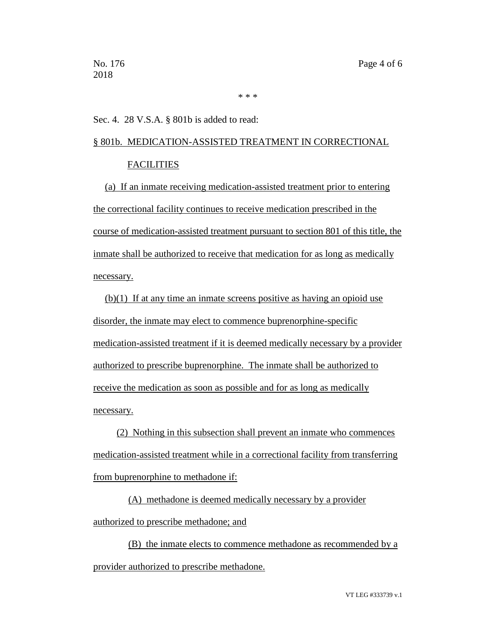\* \* \*

Sec. 4. 28 V.S.A. § 801b is added to read:

### § 801b. MEDICATION-ASSISTED TREATMENT IN CORRECTIONAL **FACILITIES**

(a) If an inmate receiving medication-assisted treatment prior to entering the correctional facility continues to receive medication prescribed in the course of medication-assisted treatment pursuant to section 801 of this title, the inmate shall be authorized to receive that medication for as long as medically necessary.

(b)(1) If at any time an inmate screens positive as having an opioid use disorder, the inmate may elect to commence buprenorphine-specific medication-assisted treatment if it is deemed medically necessary by a provider authorized to prescribe buprenorphine. The inmate shall be authorized to receive the medication as soon as possible and for as long as medically necessary.

(2) Nothing in this subsection shall prevent an inmate who commences medication-assisted treatment while in a correctional facility from transferring from buprenorphine to methadone if:

(A) methadone is deemed medically necessary by a provider authorized to prescribe methadone; and

(B) the inmate elects to commence methadone as recommended by a provider authorized to prescribe methadone.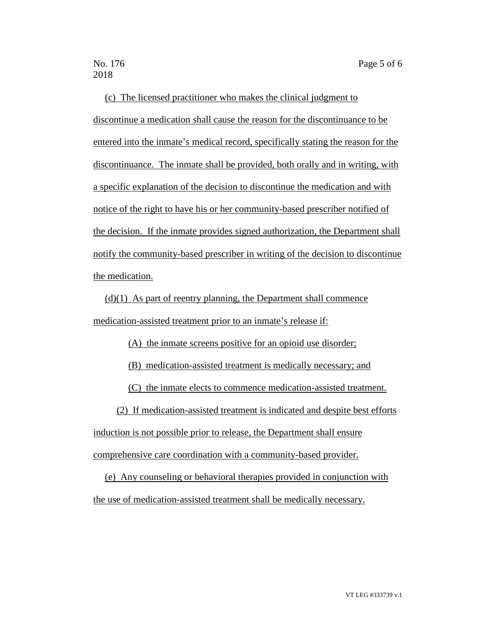(c) The licensed practitioner who makes the clinical judgment to discontinue a medication shall cause the reason for the discontinuance to be entered into the inmate's medical record, specifically stating the reason for the discontinuance. The inmate shall be provided, both orally and in writing, with a specific explanation of the decision to discontinue the medication and with notice of the right to have his or her community-based prescriber notified of the decision. If the inmate provides signed authorization, the Department shall notify the community-based prescriber in writing of the decision to discontinue the medication.

 $(d)(1)$  As part of reentry planning, the Department shall commence medication-assisted treatment prior to an inmate's release if:

(A) the inmate screens positive for an opioid use disorder;

(B) medication-assisted treatment is medically necessary; and

(C) the inmate elects to commence medication-assisted treatment.

(2) If medication-assisted treatment is indicated and despite best efforts induction is not possible prior to release, the Department shall ensure comprehensive care coordination with a community-based provider.

(e) Any counseling or behavioral therapies provided in conjunction with the use of medication-assisted treatment shall be medically necessary.